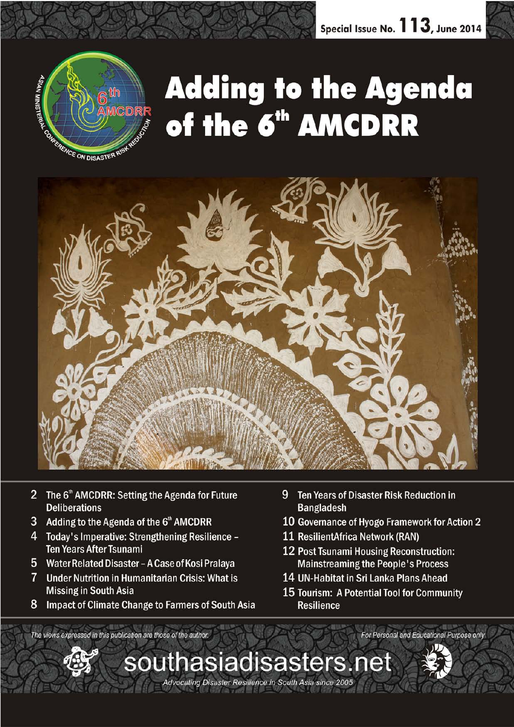

# **Adding to the Agenda** of the 6<sup>th</sup> AMCDRR



- 2 The 6<sup>th</sup> AMCDRR: Setting the Agenda for Future **Deliberations**
- Adding to the Agenda of the 6th AMCDRR 3

The views expressed in this publication are those of the author.

- 4 Today's Imperative: Strengthening Resilience -**Ten Years After Tsunami**
- 5 Water Related Disaster - A Case of Kosi Pralaya
- $\overline{7}$ **Under Nutrition in Humanitarian Crisis: What is Missing in South Asia**
- 8 Impact of Climate Change to Farmers of South Asia
- 9 Ten Years of Disaster Risk Reduction in **Bangladesh**
- 10 Governance of Hyogo Framework for Action 2
- 11 ResilientAfrica Network (RAN)
- 12 Post Tsunami Housing Reconstruction: **Mainstreaming the People's Process**
- 14 UN-Habitat in Sri Lanka Plans Ahead
- 15 Tourism: A Potential Tool for Community **Resilience**

For Personal and Educational Purpose only

southasiadisasters.net

Advocating Disaster Resilience in South Asia since 2005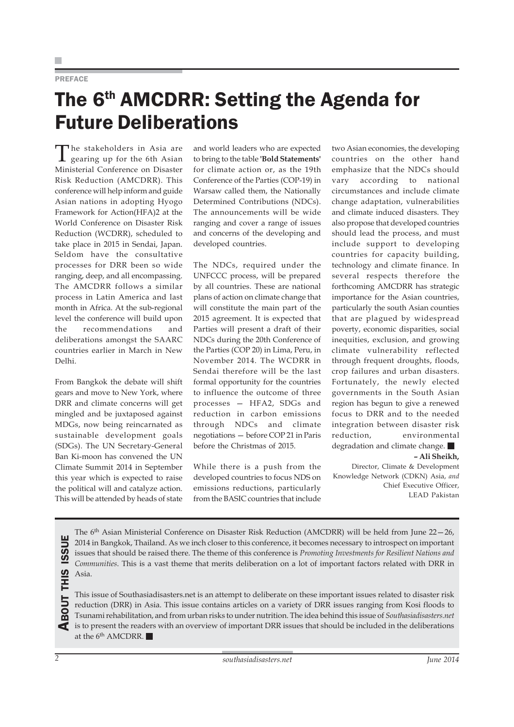### PREFACE

### The 6<sup>th</sup> AMCDRR: Setting the Agenda for Future Deliberations

The stakeholders in Asia are gearing up for the 6th Asian Ministerial Conference on Disaster Risk Reduction (AMCDRR). This conference will help inform and guide Asian nations in adopting Hyogo Framework for Action(HFA)2 at the World Conference on Disaster Risk Reduction (WCDRR), scheduled to take place in 2015 in Sendai, Japan. Seldom have the consultative processes for DRR been so wide ranging, deep, and all encompassing. The AMCDRR follows a similar process in Latin America and last month in Africa. At the sub-regional level the conference will build upon the recommendations and deliberations amongst the SAARC countries earlier in March in New Delhi.

From Bangkok the debate will shift gears and move to New York, where DRR and climate concerns will get mingled and be juxtaposed against MDGs, now being reincarnated as sustainable development goals (SDGs). The UN Secretary-General Ban Ki-moon has convened the UN Climate Summit 2014 in September this year which is expected to raise the political will and catalyze action. This will be attended by heads of state and world leaders who are expected to bring to the table **'Bold Statements'** for climate action or, as the 19th Conference of the Parties (COP-19) in Warsaw called them, the Nationally Determined Contributions (NDCs). The announcements will be wide ranging and cover a range of issues and concerns of the developing and developed countries.

The NDCs, required under the UNFCCC process, will be prepared by all countries. These are national plans of action on climate change that will constitute the main part of the 2015 agreement. It is expected that Parties will present a draft of their NDCs during the 20th Conference of the Parties (COP 20) in Lima, Peru, in November 2014. The WCDRR in Sendai therefore will be the last formal opportunity for the countries to influence the outcome of three processes — HFA2, SDGs and reduction in carbon emissions through NDCs and climate negotiations — before COP 21 in Paris before the Christmas of 2015.

While there is a push from the developed countries to focus NDS on emissions reductions, particularly from the BASIC countries that include two Asian economies, the developing countries on the other hand emphasize that the NDCs should vary according to national circumstances and include climate change adaptation, vulnerabilities and climate induced disasters. They also propose that developed countries should lead the process, and must include support to developing countries for capacity building, technology and climate finance. In several respects therefore the forthcoming AMCDRR has strategic importance for the Asian countries, particularly the south Asian counties that are plagued by widespread poverty, economic disparities, social inequities, exclusion, and growing climate vulnerability reflected through frequent droughts, floods, crop failures and urban disasters. Fortunately, the newly elected governments in the South Asian region has begun to give a renewed focus to DRR and to the needed integration between disaster risk reduction, environmental degradation and climate change. **– Ali Sheikh,**

Director, Climate & Development Knowledge Network (CDKN) Asia, *and* Chief Executive Officer, LEAD Pakistan

The 6<sup>th</sup> Asian Ministerial Conference on Disaster Risk Reduction (AMCDRR) will be held from June 22–26, 2014 in Bangkok, Thailand. As we inch closer to this conference, it becomes necessary to introspect on important issues that should be raised there. The theme of this conference is *Promoting Investments for Resilient Nations and Communities*. This is a vast theme that merits deliberation on a lot of important factors related with DRR in Asia.

ABOUT THIS ISSUE **THIS** BOUT ' This issue of Southasiadisasters.net is an attempt to deliberate on these important issues related to disaster risk reduction (DRR) in Asia. This issue contains articles on a variety of DRR issues ranging from Kosi floods to Tsunami rehabilitation, and from urban risks to under nutrition. The idea behind this issue of *Southasiadisasters.net* is to present the readers with an overview of important DRR issues that should be included in the deliberations at the  $6^{\text{th}}$  AMCDRR.

**ISSUE**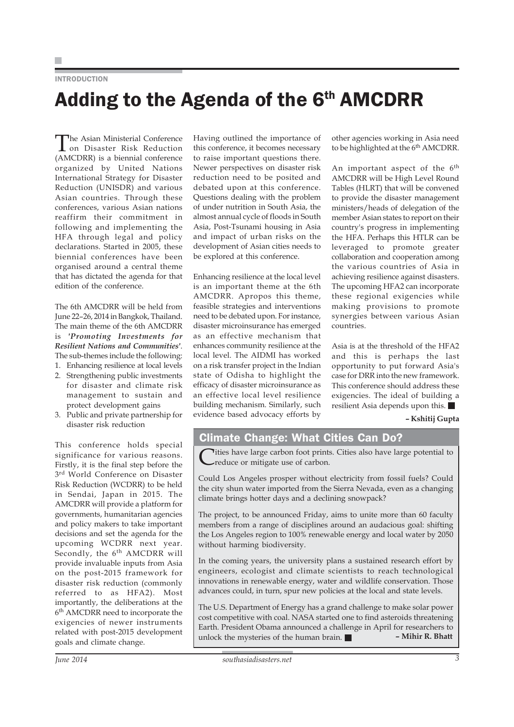### INTRODUCTION

# Adding to the Agenda of the 6th AMCDRR

The Asian Ministerial Conference on Disaster Risk Reduction (AMCDRR) is a biennial conference organized by United Nations International Strategy for Disaster Reduction (UNISDR) and various Asian countries. Through these conferences, various Asian nations reaffirm their commitment in following and implementing the HFA through legal and policy declarations. Started in 2005, these biennial conferences have been organised around a central theme that has dictated the agenda for that edition of the conference.

The 6th AMCDRR will be held from June 22–26, 2014 in Bangkok, Thailand. The main theme of the 6th AMCDRR is *'Promoting Investments for Resilient Nations and Communities'*. The sub-themes include the following:

- 1. Enhancing resilience at local levels
- 2. Strengthening public investments for disaster and climate risk management to sustain and protect development gains
- 3. Public and private partnership for disaster risk reduction

This conference holds special significance for various reasons. Firstly, it is the final step before the 3<sup>rd</sup> World Conference on Disaster Risk Reduction (WCDRR) to be held in Sendai, Japan in 2015. The AMCDRR will provide a platform for governments, humanitarian agencies and policy makers to take important decisions and set the agenda for the upcoming WCDRR next year. Secondly, the 6<sup>th</sup> AMCDRR will provide invaluable inputs from Asia on the post-2015 framework for disaster risk reduction (commonly referred to as HFA2). Most importantly, the deliberations at the 6th AMCDRR need to incorporate the exigencies of newer instruments related with post-2015 development goals and climate change.

Having outlined the importance of this conference, it becomes necessary to raise important questions there. Newer perspectives on disaster risk reduction need to be posited and debated upon at this conference. Questions dealing with the problem of under nutrition in South Asia, the almost annual cycle of floods in South Asia, Post-Tsunami housing in Asia and impact of urban risks on the development of Asian cities needs to be explored at this conference.

Enhancing resilience at the local level is an important theme at the 6th AMCDRR. Apropos this theme, feasible strategies and interventions need to be debated upon. For instance, disaster microinsurance has emerged as an effective mechanism that enhances community resilience at the local level. The AIDMI has worked on a risk transfer project in the Indian state of Odisha to highlight the efficacy of disaster microinsurance as an effective local level resilience building mechanism. Similarly, such evidence based advocacy efforts by

other agencies working in Asia need to be highlighted at the 6<sup>th</sup> AMCDRR.

An important aspect of the 6<sup>th</sup> AMCDRR will be High Level Round Tables (HLRT) that will be convened to provide the disaster management ministers/heads of delegation of the member Asian states to report on their country's progress in implementing the HFA. Perhaps this HTLR can be leveraged to promote greater collaboration and cooperation among the various countries of Asia in achieving resilience against disasters. The upcoming HFA2 can incorporate these regional exigencies while making provisions to promote synergies between various Asian countries.

Asia is at the threshold of the HFA2 and this is perhaps the last opportunity to put forward Asia's case for DRR into the new framework. This conference should address these exigencies. The ideal of building a resilient Asia depends upon this.

**– Kshitij Gupta**

### Climate Change: What Cities Can Do?

Tities have large carbon foot prints. Cities also have large potential to reduce or mitigate use of carbon.

Could Los Angeles prosper without electricity from fossil fuels? Could the city shun water imported from the Sierra Nevada, even as a changing climate brings hotter days and a declining snowpack?

The project, to be announced Friday, aims to unite more than 60 faculty members from a range of disciplines around an audacious goal: shifting the Los Angeles region to 100% renewable energy and local water by 2050 without harming biodiversity.

In the coming years, the university plans a sustained research effort by engineers, ecologist and climate scientists to reach technological innovations in renewable energy, water and wildlife conservation. Those advances could, in turn, spur new policies at the local and state levels.

The U.S. Department of Energy has a grand challenge to make solar power cost competitive with coal. NASA started one to find asteroids threatening Earth. President Obama announced a challenge in April for researchers to unlock the mysteries of the human brain. **– Mihir R. Bhatt**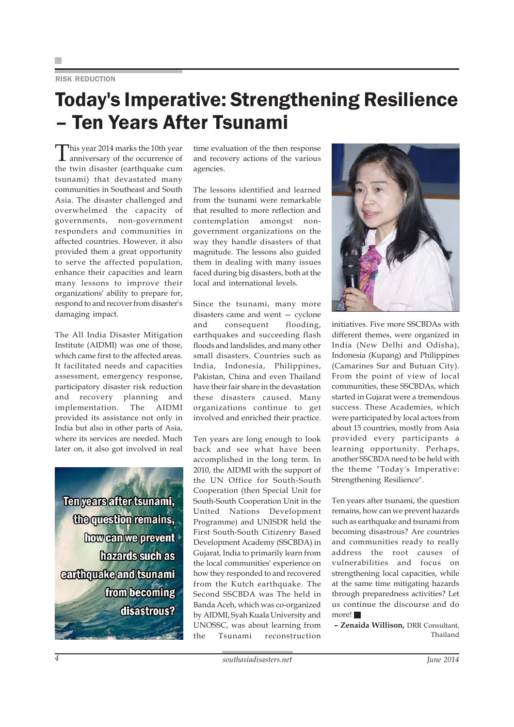### RISK REDUCTION

## Today's Imperative: Strengthening Resilience – Ten Years After Tsunami

This year 2014 marks the 10th year anniversary of the occurrence of the twin disaster (earthquake cum tsunami) that devastated many communities in Southeast and South Asia. The disaster challenged and overwhelmed the capacity of governments, non-government responders and communities in affected countries. However, it also provided them a great opportunity to serve the affected population, enhance their capacities and learn many lessons to improve their organizations' ability to prepare for, respond to and recover from disaster's damaging impact.

The All India Disaster Mitigation Institute (AIDMI) was one of those, which came first to the affected areas. It facilitated needs and capacities assessment, emergency response, participatory disaster risk reduction and recovery planning and implementation. The AIDMI provided its assistance not only in India but also in other parts of Asia, where its services are needed. Much later on, it also got involved in real

Ten years after tsunami, the question remains, how can we prevent hazards such as earthquake and tsunami from becoming disastrous?

time evaluation of the then response and recovery actions of the various agencies.

The lessons identified and learned from the tsunami were remarkable that resulted to more reflection and contemplation amongst nongovernment organizations on the way they handle disasters of that magnitude. The lessons also guided them in dealing with many issues faced during big disasters, both at the local and international levels.

Since the tsunami, many more disasters came and went — cyclone and consequent flooding, earthquakes and succeeding flash floods and landslides, and many other small disasters. Countries such as India, Indonesia, Philippines, Pakistan, China and even Thailand have their fair share in the devastation these disasters caused. Many organizations continue to get involved and enriched their practice.

Ten years are long enough to look back and see what have been accomplished in the long term. In 2010, the AIDMI with the support of the UN Office for South-South Cooperation (then Special Unit for South-South Cooperation Unit in the United Nations Development Programme) and UNISDR held the First South-South Citizenry Based Development Academy (SSCBDA) in Gujarat, India to primarily learn from the local communities' experience on how they responded to and recovered from the Kutch earthquake. The Second SSCBDA was The held in Banda Aceh, which was co-organized by AIDMI, Syah Kuala University and UNOSSC, was about learning from the Tsunami reconstruction



initiatives. Five more SSCBDAs with different themes, were organized in India (New Delhi and Odisha), Indonesia (Kupang) and Philippines (Camarines Sur and Butuan City). From the point of view of local communities, these SSCBDAs, which started in Gujarat were a tremendous success. These Academies, which were participated by local actors from about 15 countries, mostly from Asia provided every participants a learning opportunity. Perhaps, another SSCBDA need to be held with the theme "Today's Imperative: Strengthening Resilience".

Ten years after tsunami, the question remains, how can we prevent hazards such as earthquake and tsunami from becoming disastrous? Are countries and communities ready to really address the root causes of vulnerabilities and focus on strengthening local capacities, while at the same time mitigating hazards through preparedness activities? Let us continue the discourse and do more!

**– Zenaida Willison,** DRR Consultant, Thailand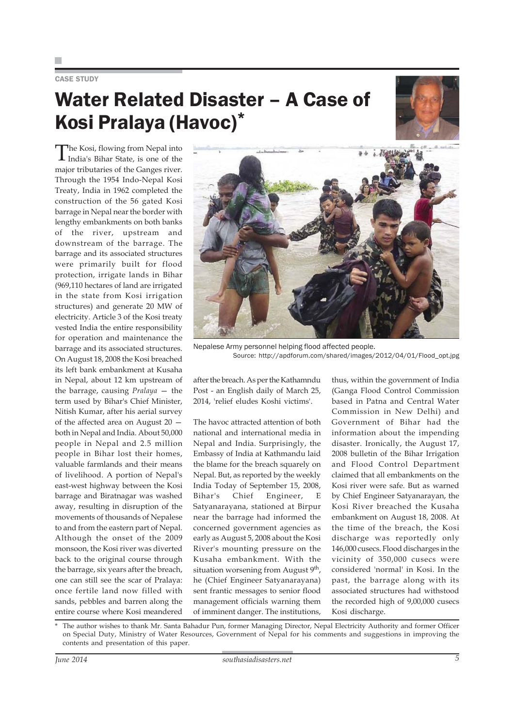### CASE STUDY

# Water Related Disaster – A Case of Kosi Pralaya (Havoc)\*



The Kosi, flowing from Nepal into India's Bihar State, is one of the major tributaries of the Ganges river. Through the 1954 Indo-Nepal Kosi Treaty, India in 1962 completed the construction of the 56 gated Kosi barrage in Nepal near the border with lengthy embankments on both banks of the river, upstream and downstream of the barrage. The barrage and its associated structures were primarily built for flood protection, irrigate lands in Bihar (969,110 hectares of land are irrigated in the state from Kosi irrigation structures) and generate 20 MW of electricity. Article 3 of the Kosi treaty vested India the entire responsibility for operation and maintenance the barrage and its associated structures. On August 18, 2008 the Kosi breached its left bank embankment at Kusaha in Nepal, about 12 km upstream of the barrage, causing *Pralaya* — the term used by Bihar's Chief Minister, Nitish Kumar, after his aerial survey of the affected area on August 20 both in Nepal and India. About 50,000 people in Nepal and 2.5 million people in Bihar lost their homes, valuable farmlands and their means of livelihood. A portion of Nepal's east-west highway between the Kosi barrage and Biratnagar was washed away, resulting in disruption of the movements of thousands of Nepalese to and from the eastern part of Nepal. Although the onset of the 2009 monsoon, the Kosi river was diverted back to the original course through the barrage, six years after the breach, one can still see the scar of Pralaya: once fertile land now filled with sands, pebbles and barren along the entire course where Kosi meandered



Nepalese Army personnel helping flood affected people. Source: http://apdforum.com/shared/images/2012/04/01/Flood\_opt.jpg

after the breach. As per the Kathamndu Post - an English daily of March 25, 2014, 'relief eludes Koshi victims'.

The havoc attracted attention of both national and international media in Nepal and India. Surprisingly, the Embassy of India at Kathmandu laid the blame for the breach squarely on Nepal. But, as reported by the weekly India Today of September 15, 2008, Bihar's Chief Engineer, E Satyanarayana, stationed at Birpur near the barrage had informed the concerned government agencies as early as August 5, 2008 about the Kosi River's mounting pressure on the Kusaha embankment. With the situation worsening from August 9<sup>th</sup>, he (Chief Engineer Satyanarayana) sent frantic messages to senior flood management officials warning them of imminent danger. The institutions,

thus, within the government of India (Ganga Flood Control Commission based in Patna and Central Water Commission in New Delhi) and Government of Bihar had the information about the impending disaster. Ironically, the August 17, 2008 bulletin of the Bihar Irrigation and Flood Control Department claimed that all embankments on the Kosi river were safe. But as warned by Chief Engineer Satyanarayan, the Kosi River breached the Kusaha embankment on August 18, 2008. At the time of the breach, the Kosi discharge was reportedly only 146,000 cusecs. Flood discharges in the vicinity of 350,000 cusecs were considered 'normal' in Kosi. In the past, the barrage along with its associated structures had withstood the recorded high of 9,00,000 cusecs Kosi discharge.

The author wishes to thank Mr. Santa Bahadur Pun, former Managing Director, Nepal Electricity Authority and former Officer on Special Duty, Ministry of Water Resources, Government of Nepal for his comments and suggestions in improving the contents and presentation of this paper.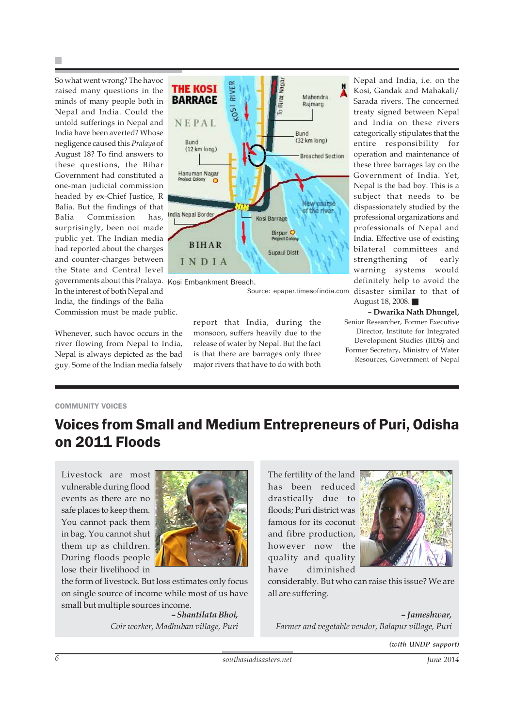So what went wrong? The havoc raised many questions in the minds of many people both in Nepal and India. Could the untold sufferings in Nepal and India have been averted? Whose negligence caused this *Pralaya* of August 18? To find answers to these questions, the Bihar Government had constituted a one-man judicial commission headed by ex-Chief Justice, R Balia. But the findings of that Balia Commission has, surprisingly, been not made public yet. The Indian media had reported about the charges and counter-charges between the State and Central level governments about this Pralaya. Kosi Embankment Breach. In the interest of both Nepal and India, the findings of the Balia Commission must be made public.

Whenever, such havoc occurs in the river flowing from Nepal to India, Nepal is always depicted as the bad guy. Some of the Indian media falsely



Source: epaper.timesofindia.com

report that India, during the monsoon, suffers heavily due to the release of water by Nepal. But the fact is that there are barrages only three major rivers that have to do with both

Nepal and India, i.e. on the Kosi, Gandak and Mahakali/ Sarada rivers. The concerned treaty signed between Nepal and India on these rivers categorically stipulates that the entire responsibility for operation and maintenance of these three barrages lay on the Government of India. Yet, Nepal is the bad boy. This is a subject that needs to be dispassionately studied by the professional organizations and professionals of Nepal and India. Effective use of existing bilateral committees and strengthening of early warning systems would definitely help to avoid the disaster similar to that of August 18, 2008.

**– Dwarika Nath Dhungel,** Senior Researcher, Former Executive Director, Institute for Integrated Development Studies (IIDS) and Former Secretary, Ministry of Water Resources, Government of Nepal

### COMMUNITY VOICES

### Voices from Small and Medium Entrepreneurs of Puri, Odisha on 2011 Floods

Livestock are most vulnerable during flood events as there are no safe places to keep them. You cannot pack them in bag. You cannot shut them up as children. During floods people lose their livelihood in



the form of livestock. But loss estimates only focus on single source of income while most of us have small but multiple sources income.

> *– Shantilata Bhoi, Coir worker, Madhuban village, Puri*

The fertility of the land has been reduced drastically due to floods; Puri district was famous for its coconut and fibre production, however now the quality and quality have diminished



considerably. But who can raise this issue? We are all are suffering.

*– Jameshwar, Farmer and vegetable vendor, Balapur village, Puri*

*(with UNDP support)*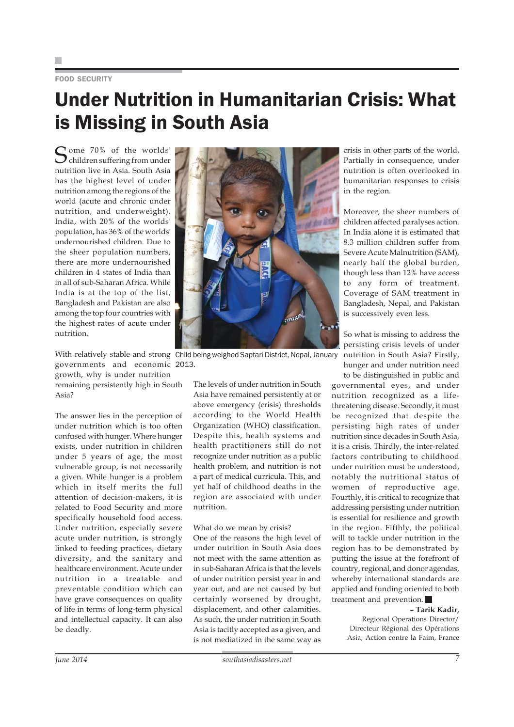### FOOD SECURITY

# Under Nutrition in Humanitarian Crisis: What is Missing in South Asia

Some 70% of the worlds'<br>Children suffering from under nutrition live in Asia. South Asia has the highest level of under nutrition among the regions of the world (acute and chronic under nutrition, and underweight). India, with 20% of the worlds' population, has 36% of the worlds' undernourished children. Due to the sheer population numbers, there are more undernourished children in 4 states of India than in all of sub-Saharan Africa. While India is at the top of the list, Bangladesh and Pakistan are also among the top four countries with the highest rates of acute under nutrition.

governments and economic 2013.growth, why is under nutrition

remaining persistently high in South Asia?

The answer lies in the perception of under nutrition which is too often confused with hunger. Where hunger exists, under nutrition in children under 5 years of age, the most vulnerable group, is not necessarily a given. While hunger is a problem which in itself merits the full attention of decision-makers, it is related to Food Security and more specifically household food access. Under nutrition, especially severe acute under nutrition, is strongly linked to feeding practices, dietary diversity, and the sanitary and healthcare environment. Acute under nutrition in a treatable and preventable condition which can have grave consequences on quality of life in terms of long-term physical and intellectual capacity. It can also be deadly.



With relatively stable and strong Child being weighed Saptari District, Nepal, January

The levels of under nutrition in South Asia have remained persistently at or above emergency (crisis) thresholds according to the World Health Organization (WHO) classification. Despite this, health systems and health practitioners still do not recognize under nutrition as a public health problem, and nutrition is not a part of medical curricula. This, and yet half of childhood deaths in the region are associated with under nutrition.

#### What do we mean by crisis?

One of the reasons the high level of under nutrition in South Asia does not meet with the same attention as in sub-Saharan Africa is that the levels of under nutrition persist year in and year out, and are not caused by but certainly worsened by drought, displacement, and other calamities. As such, the under nutrition in South Asia is tacitly accepted as a given, and is not mediatized in the same way as crisis in other parts of the world. Partially in consequence, under nutrition is often overlooked in humanitarian responses to crisis in the region.

Moreover, the sheer numbers of children affected paralyses action. In India alone it is estimated that 8.3 million children suffer from Severe Acute Malnutrition (SAM), nearly half the global burden, though less than 12% have access to any form of treatment. Coverage of SAM treatment in Bangladesh, Nepal, and Pakistan is successively even less.

So what is missing to address the persisting crisis levels of under nutrition in South Asia? Firstly, hunger and under nutrition need

to be distinguished in public and governmental eyes, and under nutrition recognized as a lifethreatening disease. Secondly, it must be recognized that despite the persisting high rates of under nutrition since decades in South Asia, it is a crisis. Thirdly, the inter-related factors contributing to childhood under nutrition must be understood, notably the nutritional status of women of reproductive age. Fourthly, it is critical to recognize that addressing persisting under nutrition is essential for resilience and growth in the region. Fifthly, the political will to tackle under nutrition in the region has to be demonstrated by putting the issue at the forefront of country, regional, and donor agendas, whereby international standards are applied and funding oriented to both treatment and prevention.

### **– Tarik Kadir,**

Regional Operations Director/ Directeur Régional des Opérations Asia, Action contre la Faim, France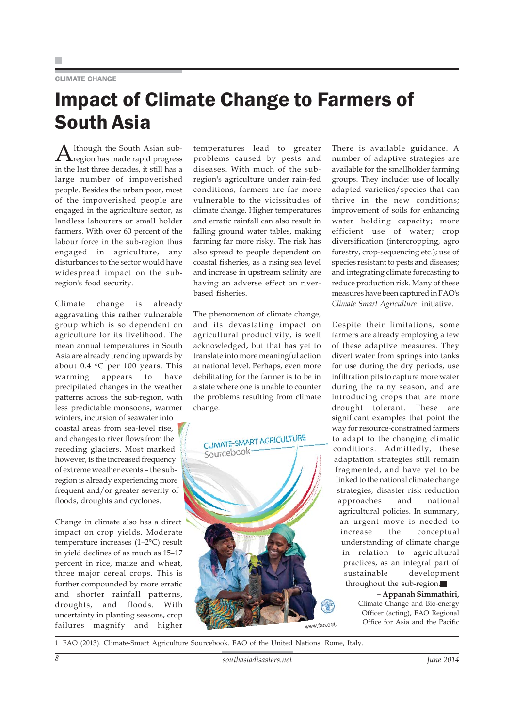### CLIMATE CHANGE

### Impact of Climate Change to Farmers of South Asia

 ${\rm A}$ lthough the South Asian sub-<br>region has made rapid progress in the last three decades, it still has a large number of impoverished people. Besides the urban poor, most of the impoverished people are engaged in the agriculture sector, as landless labourers or small holder farmers. With over 60 percent of the labour force in the sub-region thus engaged in agriculture, any disturbances to the sector would have widespread impact on the subregion's food security.

Climate change is already aggravating this rather vulnerable group which is so dependent on agriculture for its livelihood. The mean annual temperatures in South Asia are already trending upwards by about  $0.4$  °C per 100 years. This warming appears to have precipitated changes in the weather patterns across the sub-region, with less predictable monsoons, warmer

winters, incursion of seawater into coastal areas from sea-level rise, and changes to river flows from the receding glaciers. Most marked however, is the increased frequency of extreme weather events – the subregion is already experiencing more frequent and/or greater severity of floods, droughts and cyclones.

Change in climate also has a direct impact on crop yields. Moderate temperature increases (1–2°C) result in yield declines of as much as 15–17 percent in rice, maize and wheat, three major cereal crops. This is further compounded by more erratic and shorter rainfall patterns, droughts, and floods. With uncertainty in planting seasons, crop failures magnify and higher

temperatures lead to greater problems caused by pests and diseases. With much of the subregion's agriculture under rain-fed conditions, farmers are far more vulnerable to the vicissitudes of climate change. Higher temperatures and erratic rainfall can also result in falling ground water tables, making farming far more risky. The risk has also spread to people dependent on coastal fisheries, as a rising sea level and increase in upstream salinity are having an adverse effect on riverbased fisheries.

The phenomenon of climate change, and its devastating impact on agricultural productivity, is well acknowledged, but that has yet to translate into more meaningful action at national level. Perhaps, even more debilitating for the farmer is to be in a state where one is unable to counter the problems resulting from climate change.



There is available guidance. A number of adaptive strategies are available for the smallholder farming groups. They include: use of locally adapted varieties/species that can thrive in the new conditions; improvement of soils for enhancing water holding capacity; more efficient use of water; crop diversification (intercropping, agro forestry, crop-sequencing etc.); use of species resistant to pests and diseases; and integrating climate forecasting to reduce production risk. Many of these measures have been captured in FAO's *Climate Smart Agriculture1* initiative.

Despite their limitations, some farmers are already employing a few of these adaptive measures. They divert water from springs into tanks for use during the dry periods, use infiltration pits to capture more water during the rainy season, and are introducing crops that are more drought tolerant. These are significant examples that point the way for resource-constrained farmers to adapt to the changing climatic conditions. Admittedly, these adaptation strategies still remain fragmented, and have yet to be linked to the national climate change strategies, disaster risk reduction approaches and national agricultural policies. In summary, an urgent move is needed to increase the conceptual understanding of climate change in relation to agricultural practices, as an integral part of sustainable development throughout the sub-region.

> **– Appanah Simmathiri,** Climate Change and Bio-energy Officer (acting), FAO Regional Office for Asia and the Pacific

1 FAO (2013). Climate-Smart Agriculture Sourcebook. FAO of the United Nations. Rome, Italy.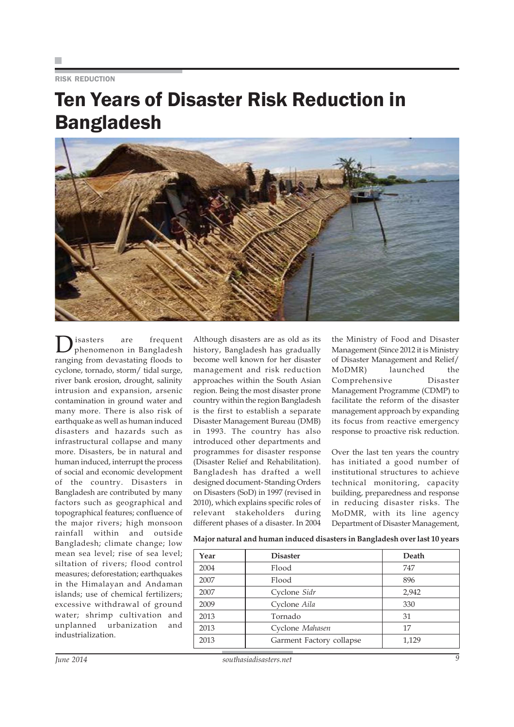RISK REDUCTION

### Ten Years of Disaster Risk Reduction in Bangladesh



Disasters are frequent phenomenon in Bangladesh ranging from devastating floods to cyclone, tornado, storm/ tidal surge, river bank erosion, drought, salinity intrusion and expansion, arsenic contamination in ground water and many more. There is also risk of earthquake as well as human induced disasters and hazards such as infrastructural collapse and many more. Disasters, be in natural and human induced, interrupt the process of social and economic development of the country. Disasters in Bangladesh are contributed by many factors such as geographical and topographical features; confluence of the major rivers; high monsoon rainfall within and outside Bangladesh; climate change; low mean sea level; rise of sea level; siltation of rivers; flood control measures; deforestation; earthquakes in the Himalayan and Andaman islands; use of chemical fertilizers; excessive withdrawal of ground water; shrimp cultivation and unplanned urbanization and industrialization.

Although disasters are as old as its history, Bangladesh has gradually become well known for her disaster management and risk reduction approaches within the South Asian region. Being the most disaster prone country within the region Bangladesh is the first to establish a separate Disaster Management Bureau (DMB) in 1993. The country has also introduced other departments and programmes for disaster response (Disaster Relief and Rehabilitation). Bangladesh has drafted a well designed document- Standing Orders on Disasters (SoD) in 1997 (revised in 2010), which explains specific roles of relevant stakeholders during different phases of a disaster. In 2004

the Ministry of Food and Disaster Management (Since 2012 it is Ministry of Disaster Management and Relief/ MoDMR) launched the Comprehensive Disaster Management Programme (CDMP) to facilitate the reform of the disaster management approach by expanding its focus from reactive emergency response to proactive risk reduction.

Over the last ten years the country has initiated a good number of institutional structures to achieve technical monitoring, capacity building, preparedness and response in reducing disaster risks. The MoDMR, with its line agency Department of Disaster Management,

| Major natural and human induced disasters in Bangladesh over last 10 years |                 |       |  |
|----------------------------------------------------------------------------|-----------------|-------|--|
| Year                                                                       | <b>Disaster</b> | Death |  |

| Year | <b>Disaster</b>          | Death |
|------|--------------------------|-------|
| 2004 | Flood                    | 747   |
| 2007 | Flood                    | 896   |
| 2007 | Cyclone Sidr             | 2,942 |
| 2009 | Cyclone Aila             | 330   |
| 2013 | Tornado                  | 31    |
| 2013 | Cyclone Mahasen          | 17    |
| 2013 | Garment Factory collapse | 1,129 |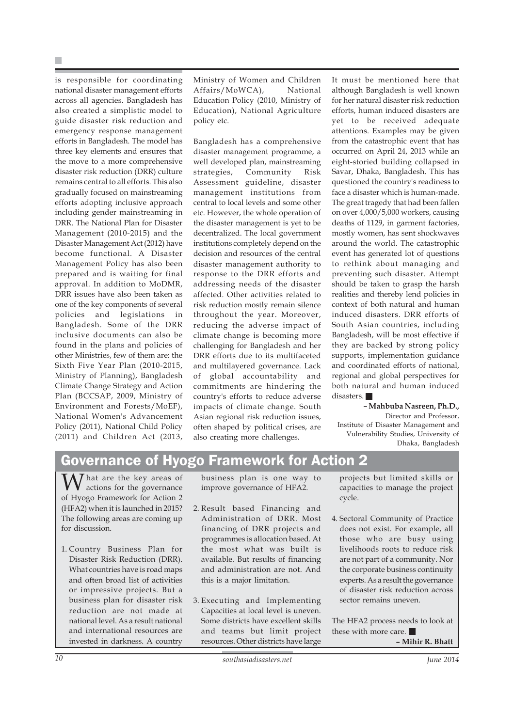is responsible for coordinating national disaster management efforts across all agencies. Bangladesh has also created a simplistic model to guide disaster risk reduction and emergency response management efforts in Bangladesh. The model has three key elements and ensures that the move to a more comprehensive disaster risk reduction (DRR) culture remains central to all efforts. This also gradually focused on mainstreaming efforts adopting inclusive approach including gender mainstreaming in DRR. The National Plan for Disaster Management (2010-2015) and the Disaster Management Act (2012) have become functional. A Disaster Management Policy has also been prepared and is waiting for final approval. In addition to MoDMR, DRR issues have also been taken as one of the key components of several policies and legislations in Bangladesh. Some of the DRR inclusive documents can also be found in the plans and policies of other Ministries, few of them are: the Sixth Five Year Plan (2010-2015, Ministry of Planning), Bangladesh Climate Change Strategy and Action Plan (BCCSAP, 2009, Ministry of Environment and Forests/MoEF), National Women's Advancement Policy (2011), National Child Policy (2011) and Children Act (2013,

Ministry of Women and Children Affairs/MoWCA), National Education Policy (2010, Ministry of Education), National Agriculture policy etc.

Bangladesh has a comprehensive disaster management programme, a well developed plan, mainstreaming strategies, Community Risk Assessment guideline, disaster management institutions from central to local levels and some other etc. However, the whole operation of the disaster management is yet to be decentralized. The local government institutions completely depend on the decision and resources of the central disaster management authority to response to the DRR efforts and addressing needs of the disaster affected. Other activities related to risk reduction mostly remain silence throughout the year. Moreover, reducing the adverse impact of climate change is becoming more challenging for Bangladesh and her DRR efforts due to its multifaceted and multilayered governance. Lack of global accountability and commitments are hindering the country's efforts to reduce adverse impacts of climate change. South Asian regional risk reduction issues, often shaped by political crises, are also creating more challenges.

It must be mentioned here that although Bangladesh is well known for her natural disaster risk reduction efforts, human induced disasters are yet to be received adequate attentions. Examples may be given from the catastrophic event that has occurred on April 24, 2013 while an eight-storied building collapsed in Savar, Dhaka, Bangladesh. This has questioned the country's readiness to face a disaster which is human-made. The great tragedy that had been fallen on over 4,000/5,000 workers, causing deaths of 1129, in garment factories, mostly women, has sent shockwaves around the world. The catastrophic event has generated lot of questions to rethink about managing and preventing such disaster. Attempt should be taken to grasp the harsh realities and thereby lend policies in context of both natural and human induced disasters. DRR efforts of South Asian countries, including Bangladesh, will be most effective if they are backed by strong policy supports, implementation guidance and coordinated efforts of national, regional and global perspectives for both natural and human induced disasters.

**– Mahbuba Nasreen, Ph.D.,** Director and Professor, Institute of Disaster Management and Vulnerability Studies, University of Dhaka, Bangladesh

### Governance of Hyogo Framework for Action 2

That are the key areas of actions for the governance of Hyogo Framework for Action 2 (HFA2) when it is launched in 2015? The following areas are coming up for discussion.

1. Country Business Plan for Disaster Risk Reduction (DRR). What countries have is road maps and often broad list of activities or impressive projects. But a business plan for disaster risk reduction are not made at national level. As a result national and international resources are invested in darkness. A country

business plan is one way to improve governance of HFA2.

- 2. Result based Financing and Administration of DRR. Most financing of DRR projects and programmes is allocation based. At the most what was built is available. But results of financing and administration are not. And this is a major limitation.
- 3. Executing and Implementing Capacities at local level is uneven. Some districts have excellent skills and teams but limit project resources. Other districts have large

projects but limited skills or capacities to manage the project cycle.

4. Sectoral Community of Practice does not exist. For example, all those who are busy using livelihoods roots to reduce risk are not part of a community. Nor the corporate business continuity experts. As a result the governance of disaster risk reduction across sector remains uneven

The HFA2 process needs to look at these with more care. **– Mihir R. Bhatt**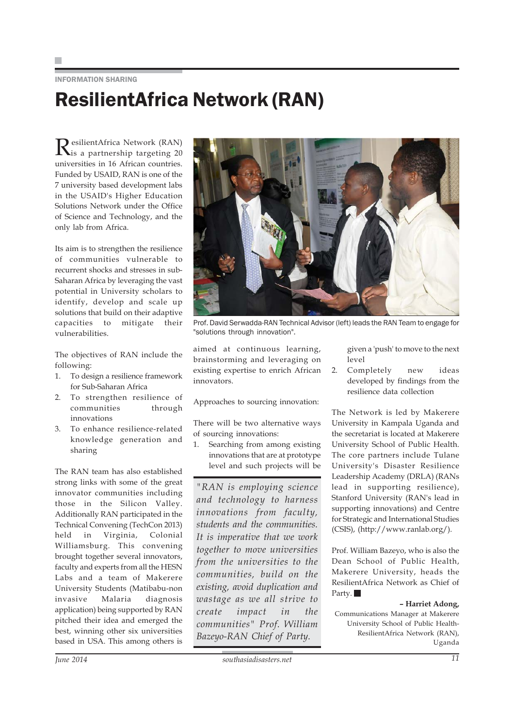### INFORMATION SHARING ResilientAfrica Network (RAN)

ResilientAfrica Network (RAN) is a partnership targeting 20 universities in 16 African countries. Funded by USAID, RAN is one of the 7 university based development labs in the USAID's Higher Education Solutions Network under the Office of Science and Technology, and the only lab from Africa.

Its aim is to strengthen the resilience of communities vulnerable to recurrent shocks and stresses in sub-Saharan Africa by leveraging the vast potential in University scholars to identify, develop and scale up solutions that build on their adaptive capacities to mitigate their vulnerabilities.

The objectives of RAN include the following:

- 1. To design a resilience framework for Sub-Saharan Africa
- 2. To strengthen resilience of communities through innovations
- 3. To enhance resilience-related knowledge generation and sharing

The RAN team has also established strong links with some of the great innovator communities including those in the Silicon Valley. Additionally RAN participated in the Technical Convening (TechCon 2013) held in Virginia, Colonial Williamsburg. This convening brought together several innovators, faculty and experts from all the HESN Labs and a team of Makerere University Students (Matibabu-non invasive Malaria diagnosis application) being supported by RAN pitched their idea and emerged the best, winning other six universities based in USA. This among others is



Prof. David Serwadda-RAN Technical Advisor (left) leads the RAN Team to engage for "solutions through innovation".

aimed at continuous learning, brainstorming and leveraging on existing expertise to enrich African innovators.

Approaches to sourcing innovation:

There will be two alternative ways of sourcing innovations:

1. Searching from among existing innovations that are at prototype level and such projects will be

*"RAN is employing science and technology to harness innovations from faculty, students and the communities. It is imperative that we work together to move universities from the universities to the communities, build on the existing, avoid duplication and wastage as we all strive to create impact in the communities" Prof. William Bazeyo-RAN Chief of Party.*

given a 'push' to move to the next level

2. Completely new ideas developed by findings from the resilience data collection

The Network is led by Makerere University in Kampala Uganda and the secretariat is located at Makerere University School of Public Health. The core partners include Tulane University's Disaster Resilience Leadership Academy (DRLA) (RANs lead in supporting resilience), Stanford University (RAN's lead in supporting innovations) and Centre for Strategic and International Studies (CSIS), (http://www.ranlab.org/).

Prof. William Bazeyo, who is also the Dean School of Public Health, Makerere University, heads the ResilientAfrica Network as Chief of Party.

### **– Harriet Adong,**

Communications Manager at Makerere University School of Public Health-ResilientAfrica Network (RAN), Uganda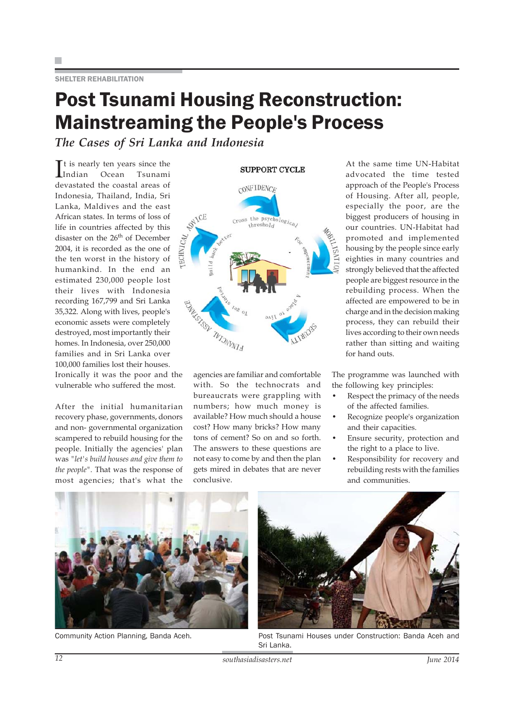SHELTER REHABILITATION

### Post Tsunami Housing Reconstruction: Mainstreaming the People's Process

*The Cases of Sri Lanka and Indonesia*

It is nearly ten years since the<br>Indian Ocean Isunami Indian Ocean Tsunami devastated the coastal areas of Indonesia, Thailand, India, Sri Lanka, Maldives and the east African states. In terms of loss of life in countries affected by this disaster on the 26<sup>th</sup> of December 2004, it is recorded as the one of the ten worst in the history of humankind. In the end an estimated 230,000 people lost their lives with Indonesia recording 167,799 and Sri Lanka 35,322. Along with lives, people's economic assets were completely destroyed, most importantly their homes. In Indonesia, over 250,000 families and in Sri Lanka over 100,000 families lost their houses.

Ironically it was the poor and the vulnerable who suffered the most.

After the initial humanitarian recovery phase, governments, donors and non- governmental organization scampered to rebuild housing for the people. Initially the agencies' plan was *"let's build houses and give them to the people".* That was the response of most agencies; that's what the



agencies are familiar and comfortable with. So the technocrats and bureaucrats were grappling with numbers; how much money is available? How much should a house cost? How many bricks? How many tons of cement? So on and so forth. The answers to these questions are not easy to come by and then the plan gets mired in debates that are never conclusive.

At the same time UN-Habitat advocated the time tested approach of the People's Process of Housing. After all, people, especially the poor, are the biggest producers of housing in our countries. UN-Habitat had promoted and implemented housing by the people since early eighties in many countries and strongly believed that the affected people are biggest resource in the rebuilding process. When the affected are empowered to be in charge and in the decision making process, they can rebuild their lives according to their own needs rather than sitting and waiting for hand outs.

The programme was launched with the following key principles:

- Respect the primacy of the needs of the affected families.
- Recognize people's organization and their capacities.
- Ensure security, protection and the right to a place to live.
- Responsibility for recovery and rebuilding rests with the families and communities.



Community Action Planning, Banda Aceh.



Post Tsunami Houses under Construction: Banda Aceh and Sri Lanka.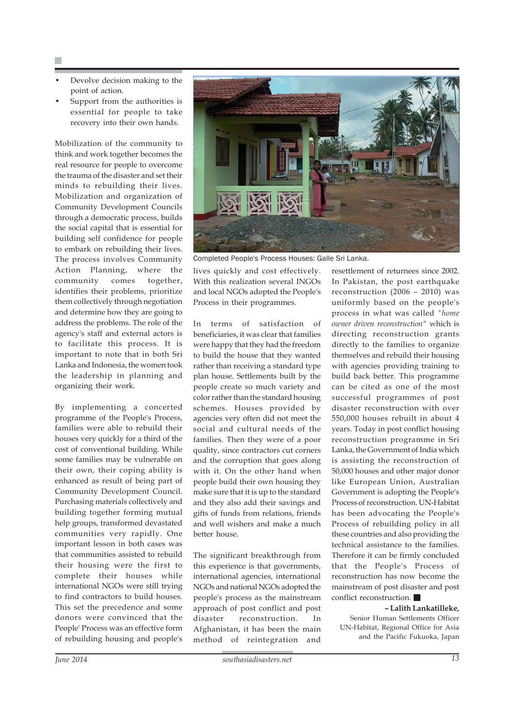- Devolve decision making to the point of action.
- Support from the authorities is essential for people to take recovery into their own hands.

Mobilization of the community to think and work together becomes the real resource for people to overcome the trauma of the disaster and set their minds to rebuilding their lives. Mobilization and organization of Community Development Councils through a democratic process, builds the social capital that is essential for building self confidence for people to embark on rebuilding their lives. The process involves Community Action Planning, where the community comes together, identifies their problems, prioritize them collectively through negotiation and determine how they are going to address the problems. The role of the agency's staff and external actors is to facilitate this process. It is important to note that in both Sri Lanka and Indonesia, the women took the leadership in planning and organizing their work.

By implementing a concerted programme of the People's Process, families were able to rebuild their houses very quickly for a third of the cost of conventional building. While some families may be vulnerable on their own, their coping ability is enhanced as result of being part of Community Development Council. Purchasing materials collectively and building together forming mutual help groups, transformed devastated communities very rapidly. One important lesson in both cases was that communities assisted to rebuild their housing were the first to complete their houses while international NGOs were still trying to find contractors to build houses. This set the precedence and some donors were convinced that the People' Process was an effective form of rebuilding housing and people's



Completed People's Process Houses: Galle Sri Lanka.

lives quickly and cost effectively. With this realization several INGOs and local NGOs adopted the People's Process in their programmes.

In terms of satisfaction of beneficiaries, it was clear that families were happy that they had the freedom to build the house that they wanted rather than receiving a standard type plan house. Settlements built by the people create so much variety and color rather than the standard housing schemes. Houses provided by agencies very often did not meet the social and cultural needs of the families. Then they were of a poor quality, since contractors cut corners and the corruption that goes along with it. On the other hand when people build their own housing they make sure that it is up to the standard and they also add their savings and gifts of funds from relations, friends and well wishers and make a much better house.

The significant breakthrough from this experience is that governments, international agencies, international NGOs and national NGOs adopted the people's process as the mainstream approach of post conflict and post disaster reconstruction. In Afghanistan, it has been the main method of reintegration and

resettlement of returnees since 2002. In Pakistan, the post earthquake reconstruction (2006 – 2010) was uniformly based on the people's process in what was called *"home owner driven reconstruction"* which is directing reconstruction grants directly to the families to organize themselves and rebuild their housing with agencies providing training to build back better. This programme can be cited as one of the most successful programmes of post disaster reconstruction with over 550,000 houses rebuilt in about 4 years. Today in post conflict housing reconstruction programme in Sri Lanka, the Government of India which is assisting the reconstruction of 50,000 houses and other major donor like European Union, Australian Government is adopting the People's Process of reconstruction. UN-Habitat has been advocating the People's Process of rebuilding policy in all these countries and also providing the technical assistance to the families. Therefore it can be firmly concluded that the People's Process of reconstruction has now become the mainstream of post disaster and post conflict reconstruction.

**– Lalith Lankatilleke,** Senior Human Settlements Officer UN-Habitat, Regional Office for Asia and the Pacific Fukuoka, Japan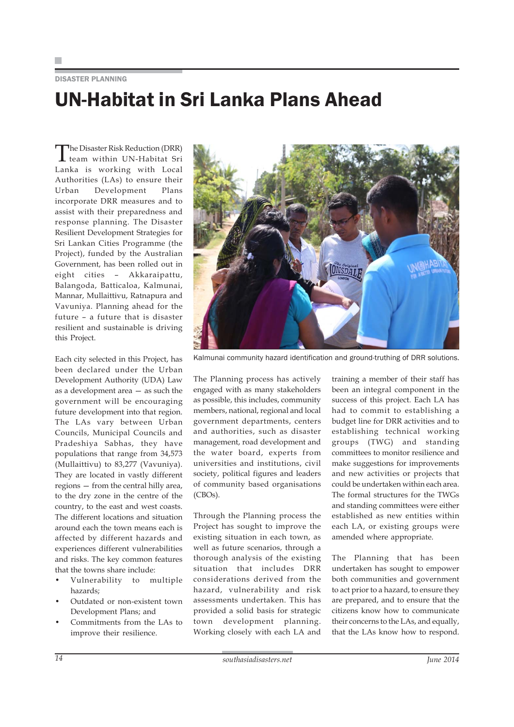### DISASTER PLANNING UN-Habitat in Sri Lanka Plans Ahead

The Disaster Risk Reduction (DRR)<br>team within UN-Habitat Sri Lanka is working with Local Authorities (LAs) to ensure their Urban Development Plans incorporate DRR measures and to assist with their preparedness and response planning. The Disaster Resilient Development Strategies for Sri Lankan Cities Programme (the Project), funded by the Australian Government, has been rolled out in eight cities – Akkaraipattu, Balangoda, Batticaloa, Kalmunai, Mannar, Mullaittivu, Ratnapura and Vavuniya. Planning ahead for the future – a future that is disaster resilient and sustainable is driving this Project.

Each city selected in this Project, has been declared under the Urban Development Authority (UDA) Law as a development area — as such the government will be encouraging future development into that region. The LAs vary between Urban Councils, Municipal Councils and Pradeshiya Sabhas, they have populations that range from 34,573 (Mullaittivu) to 83,277 (Vavuniya). They are located in vastly different regions — from the central hilly area, to the dry zone in the centre of the country, to the east and west coasts. The different locations and situation around each the town means each is affected by different hazards and experiences different vulnerabilities and risks. The key common features that the towns share include:

- Vulnerability to multiple hazards;
- Outdated or non-existent town Development Plans; and
- Commitments from the LAs to improve their resilience.



Kalmunai community hazard identification and ground-truthing of DRR solutions.

The Planning process has actively engaged with as many stakeholders as possible, this includes, community members, national, regional and local government departments, centers and authorities, such as disaster management, road development and the water board, experts from universities and institutions, civil society, political figures and leaders of community based organisations (CBOs).

Through the Planning process the Project has sought to improve the existing situation in each town, as well as future scenarios, through a thorough analysis of the existing situation that includes DRR considerations derived from the hazard, vulnerability and risk assessments undertaken. This has provided a solid basis for strategic town development planning. Working closely with each LA and

training a member of their staff has been an integral component in the success of this project. Each LA has had to commit to establishing a budget line for DRR activities and to establishing technical working groups (TWG) and standing committees to monitor resilience and make suggestions for improvements and new activities or projects that could be undertaken within each area. The formal structures for the TWGs and standing committees were either established as new entities within each LA, or existing groups were amended where appropriate.

The Planning that has been undertaken has sought to empower both communities and government to act prior to a hazard, to ensure they are prepared, and to ensure that the citizens know how to communicate their concerns to the LAs, and equally, that the LAs know how to respond.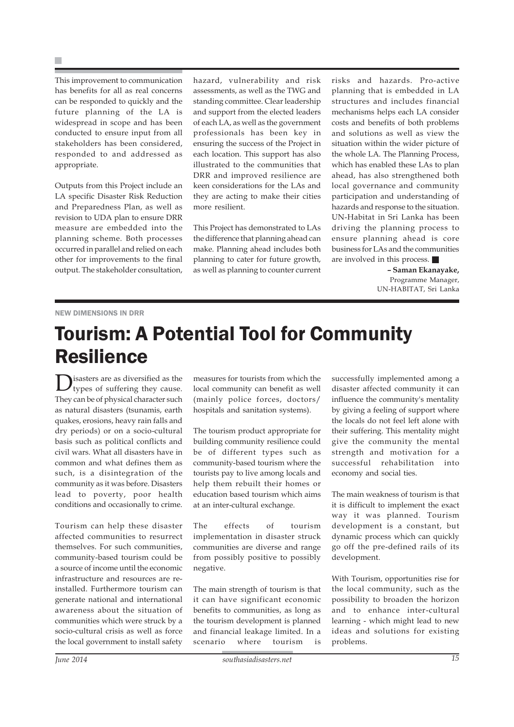H.

This improvement to communication has benefits for all as real concerns can be responded to quickly and the future planning of the LA is widespread in scope and has been conducted to ensure input from all stakeholders has been considered, responded to and addressed as appropriate.

Outputs from this Project include an LA specific Disaster Risk Reduction and Preparedness Plan, as well as revision to UDA plan to ensure DRR measure are embedded into the planning scheme. Both processes occurred in parallel and relied on each other for improvements to the final output. The stakeholder consultation, hazard, vulnerability and risk assessments, as well as the TWG and standing committee. Clear leadership and support from the elected leaders of each LA, as well as the government professionals has been key in ensuring the success of the Project in each location. This support has also illustrated to the communities that DRR and improved resilience are keen considerations for the LAs and they are acting to make their cities more resilient.

This Project has demonstrated to LAs the difference that planning ahead can make. Planning ahead includes both planning to cater for future growth, as well as planning to counter current risks and hazards. Pro-active planning that is embedded in LA structures and includes financial mechanisms helps each LA consider costs and benefits of both problems and solutions as well as view the situation within the wider picture of the whole LA. The Planning Process, which has enabled these LAs to plan ahead, has also strengthened both local governance and community participation and understanding of hazards and response to the situation. UN-Habitat in Sri Lanka has been driving the planning process to ensure planning ahead is core business for LAs and the communities are involved in this process.

> **– Saman Ekanayake,** Programme Manager, UN-HABITAT, Sri Lanka

#### NEW DIMENSIONS IN DRR

## Tourism: A Potential Tool for Community Resilience

Disasters are as diversified as the types of suffering they cause. They can be of physical character such as natural disasters (tsunamis, earth quakes, erosions, heavy rain falls and dry periods) or on a socio-cultural basis such as political conflicts and civil wars. What all disasters have in common and what defines them as such, is a disintegration of the community as it was before. Disasters lead to poverty, poor health conditions and occasionally to crime.

Tourism can help these disaster affected communities to resurrect themselves. For such communities, community-based tourism could be a source of income until the economic infrastructure and resources are reinstalled. Furthermore tourism can generate national and international awareness about the situation of communities which were struck by a socio-cultural crisis as well as force the local government to install safety

measures for tourists from which the local community can benefit as well (mainly police forces, doctors/ hospitals and sanitation systems).

The tourism product appropriate for building community resilience could be of different types such as community-based tourism where the tourists pay to live among locals and help them rebuilt their homes or education based tourism which aims at an inter-cultural exchange.

The effects of tourism implementation in disaster struck communities are diverse and range from possibly positive to possibly negative.

The main strength of tourism is that it can have significant economic benefits to communities, as long as the tourism development is planned and financial leakage limited. In a scenario where tourism is

successfully implemented among a disaster affected community it can influence the community's mentality by giving a feeling of support where the locals do not feel left alone with their suffering. This mentality might give the community the mental strength and motivation for a successful rehabilitation into economy and social ties.

The main weakness of tourism is that it is difficult to implement the exact way it was planned. Tourism development is a constant, but dynamic process which can quickly go off the pre-defined rails of its development.

With Tourism, opportunities rise for the local community, such as the possibility to broaden the horizon and to enhance inter-cultural learning - which might lead to new ideas and solutions for existing problems.